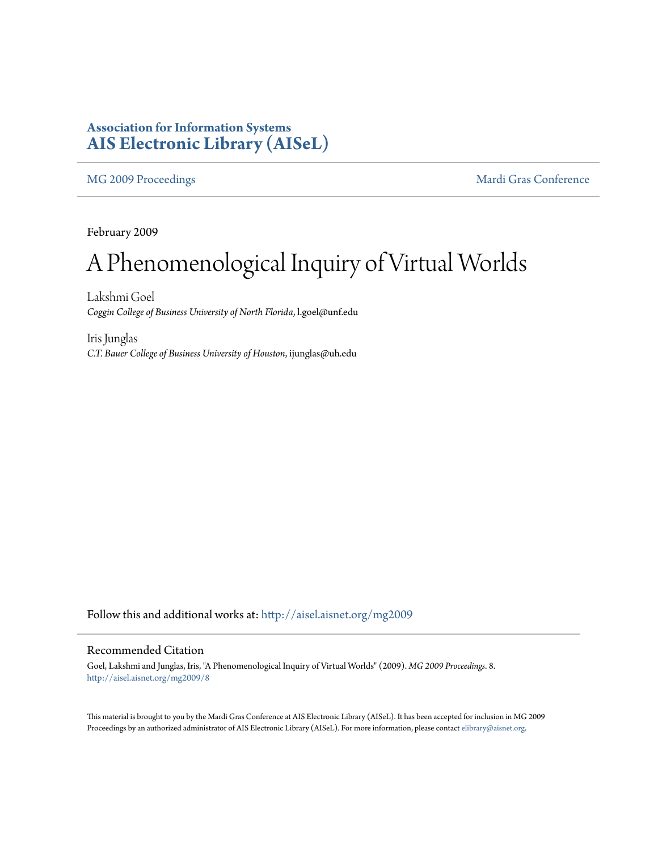## **Association for Information Systems [AIS Electronic Library \(AISeL\)](http://aisel.aisnet.org?utm_source=aisel.aisnet.org%2Fmg2009%2F8&utm_medium=PDF&utm_campaign=PDFCoverPages)**

[MG 2009 Proceedings](http://aisel.aisnet.org/mg2009?utm_source=aisel.aisnet.org%2Fmg2009%2F8&utm_medium=PDF&utm_campaign=PDFCoverPages) and the [Mardi Gras Conference](http://aisel.aisnet.org/mg?utm_source=aisel.aisnet.org%2Fmg2009%2F8&utm_medium=PDF&utm_campaign=PDFCoverPages) Mardi Gras Conference

February 2009

# A Phenomenological Inquiry of Virtual Worlds

Lakshmi Goel *Coggin College of Business University of North Florida*, l.goel@unf.edu

Iris Junglas *C.T. Bauer College of Business University of Houston*, ijunglas@uh.edu

Follow this and additional works at: [http://aisel.aisnet.org/mg2009](http://aisel.aisnet.org/mg2009?utm_source=aisel.aisnet.org%2Fmg2009%2F8&utm_medium=PDF&utm_campaign=PDFCoverPages)

### Recommended Citation

Goel, Lakshmi and Junglas, Iris, "A Phenomenological Inquiry of Virtual Worlds" (2009). *MG 2009 Proceedings*. 8. [http://aisel.aisnet.org/mg2009/8](http://aisel.aisnet.org/mg2009/8?utm_source=aisel.aisnet.org%2Fmg2009%2F8&utm_medium=PDF&utm_campaign=PDFCoverPages)

This material is brought to you by the Mardi Gras Conference at AIS Electronic Library (AISeL). It has been accepted for inclusion in MG 2009 Proceedings by an authorized administrator of AIS Electronic Library (AISeL). For more information, please contact [elibrary@aisnet.org](mailto:elibrary@aisnet.org%3E).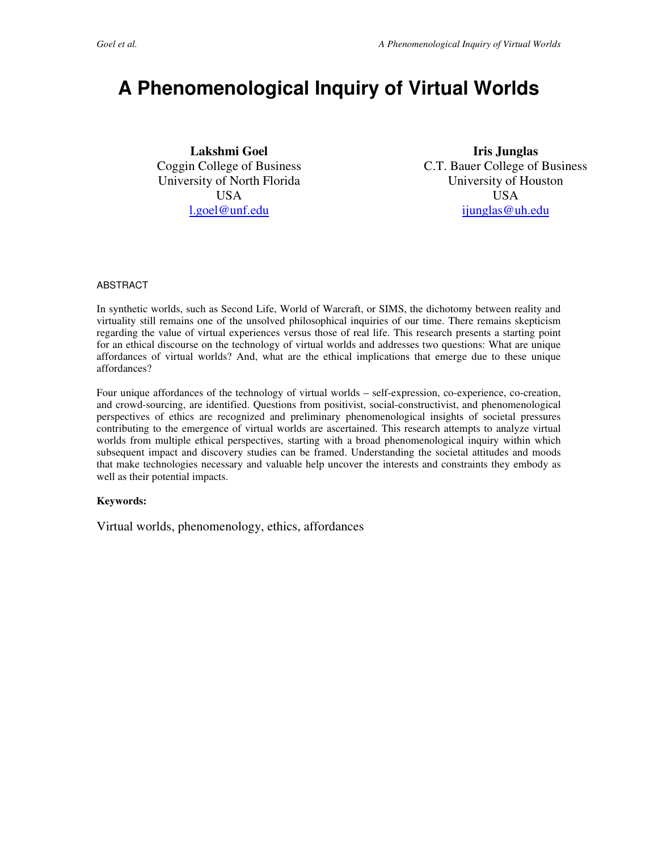# **A Phenomenological Inquiry of Virtual Worlds**

**Lakshmi Goel**  Coggin College of Business University of North Florida USA l.goel@unf.edu

**Iris Junglas**  C.T. Bauer College of Business University of Houston USA ijunglas@uh.edu

#### ABSTRACT

In synthetic worlds, such as Second Life, World of Warcraft, or SIMS, the dichotomy between reality and virtuality still remains one of the unsolved philosophical inquiries of our time. There remains skepticism regarding the value of virtual experiences versus those of real life. This research presents a starting point for an ethical discourse on the technology of virtual worlds and addresses two questions: What are unique affordances of virtual worlds? And, what are the ethical implications that emerge due to these unique affordances?

Four unique affordances of the technology of virtual worlds – self-expression, co-experience, co-creation, and crowd-sourcing, are identified. Questions from positivist, social-constructivist, and phenomenological perspectives of ethics are recognized and preliminary phenomenological insights of societal pressures contributing to the emergence of virtual worlds are ascertained. This research attempts to analyze virtual worlds from multiple ethical perspectives, starting with a broad phenomenological inquiry within which subsequent impact and discovery studies can be framed. Understanding the societal attitudes and moods that make technologies necessary and valuable help uncover the interests and constraints they embody as well as their potential impacts.

#### **Keywords:**

Virtual worlds, phenomenology, ethics, affordances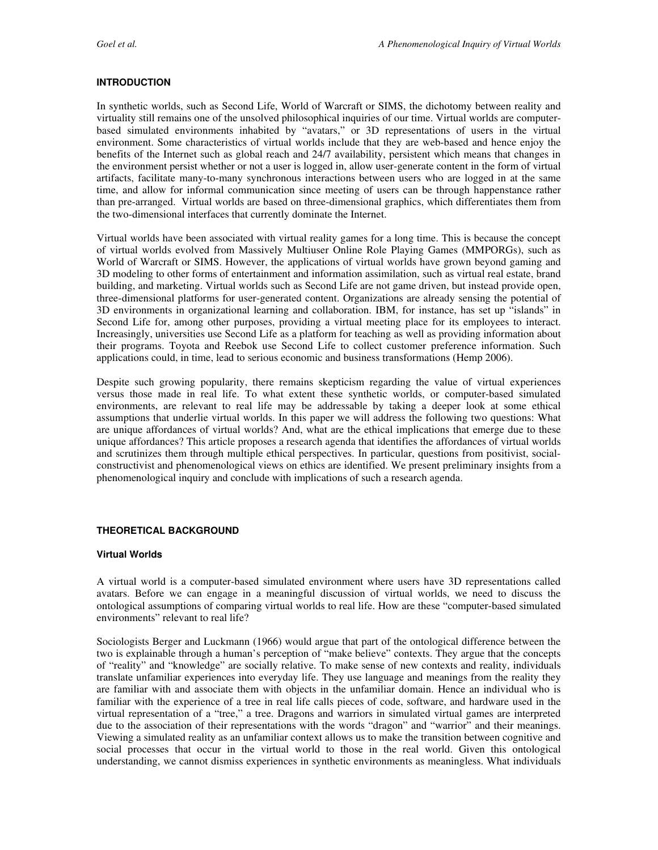#### **INTRODUCTION**

In synthetic worlds, such as Second Life, World of Warcraft or SIMS, the dichotomy between reality and virtuality still remains one of the unsolved philosophical inquiries of our time. Virtual worlds are computerbased simulated environments inhabited by "avatars," or 3D representations of users in the virtual environment. Some characteristics of virtual worlds include that they are web-based and hence enjoy the benefits of the Internet such as global reach and 24/7 availability, persistent which means that changes in the environment persist whether or not a user is logged in, allow user-generate content in the form of virtual artifacts, facilitate many-to-many synchronous interactions between users who are logged in at the same time, and allow for informal communication since meeting of users can be through happenstance rather than pre-arranged. Virtual worlds are based on three-dimensional graphics, which differentiates them from the two-dimensional interfaces that currently dominate the Internet.

Virtual worlds have been associated with virtual reality games for a long time. This is because the concept of virtual worlds evolved from Massively Multiuser Online Role Playing Games (MMPORGs), such as World of Warcraft or SIMS. However, the applications of virtual worlds have grown beyond gaming and 3D modeling to other forms of entertainment and information assimilation, such as virtual real estate, brand building, and marketing. Virtual worlds such as Second Life are not game driven, but instead provide open, three-dimensional platforms for user-generated content. Organizations are already sensing the potential of 3D environments in organizational learning and collaboration. IBM, for instance, has set up "islands" in Second Life for, among other purposes, providing a virtual meeting place for its employees to interact. Increasingly, universities use Second Life as a platform for teaching as well as providing information about their programs. Toyota and Reebok use Second Life to collect customer preference information. Such applications could, in time, lead to serious economic and business transformations (Hemp 2006).

Despite such growing popularity, there remains skepticism regarding the value of virtual experiences versus those made in real life. To what extent these synthetic worlds, or computer-based simulated environments, are relevant to real life may be addressable by taking a deeper look at some ethical assumptions that underlie virtual worlds. In this paper we will address the following two questions: What are unique affordances of virtual worlds? And, what are the ethical implications that emerge due to these unique affordances? This article proposes a research agenda that identifies the affordances of virtual worlds and scrutinizes them through multiple ethical perspectives. In particular, questions from positivist, socialconstructivist and phenomenological views on ethics are identified. We present preliminary insights from a phenomenological inquiry and conclude with implications of such a research agenda.

#### **THEORETICAL BACKGROUND**

#### **Virtual Worlds**

A virtual world is a computer-based simulated environment where users have 3D representations called avatars. Before we can engage in a meaningful discussion of virtual worlds, we need to discuss the ontological assumptions of comparing virtual worlds to real life. How are these "computer-based simulated environments" relevant to real life?

Sociologists Berger and Luckmann (1966) would argue that part of the ontological difference between the two is explainable through a human's perception of "make believe" contexts. They argue that the concepts of "reality" and "knowledge" are socially relative. To make sense of new contexts and reality, individuals translate unfamiliar experiences into everyday life. They use language and meanings from the reality they are familiar with and associate them with objects in the unfamiliar domain. Hence an individual who is familiar with the experience of a tree in real life calls pieces of code, software, and hardware used in the virtual representation of a "tree," a tree. Dragons and warriors in simulated virtual games are interpreted due to the association of their representations with the words "dragon" and "warrior" and their meanings. Viewing a simulated reality as an unfamiliar context allows us to make the transition between cognitive and social processes that occur in the virtual world to those in the real world. Given this ontological understanding, we cannot dismiss experiences in synthetic environments as meaningless. What individuals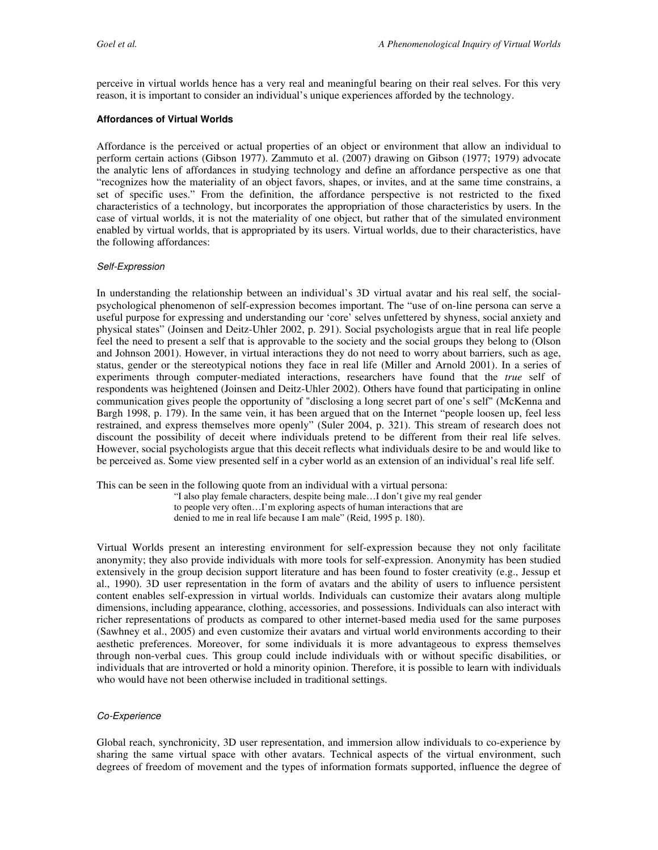perceive in virtual worlds hence has a very real and meaningful bearing on their real selves. For this very reason, it is important to consider an individual's unique experiences afforded by the technology.

#### **Affordances of Virtual Worlds**

Affordance is the perceived or actual properties of an object or environment that allow an individual to perform certain actions (Gibson 1977). Zammuto et al. (2007) drawing on Gibson (1977; 1979) advocate the analytic lens of affordances in studying technology and define an affordance perspective as one that "recognizes how the materiality of an object favors, shapes, or invites, and at the same time constrains, a set of specific uses." From the definition, the affordance perspective is not restricted to the fixed characteristics of a technology, but incorporates the appropriation of those characteristics by users. In the case of virtual worlds, it is not the materiality of one object, but rather that of the simulated environment enabled by virtual worlds, that is appropriated by its users. Virtual worlds, due to their characteristics, have the following affordances:

#### Self-Expression

In understanding the relationship between an individual's 3D virtual avatar and his real self, the socialpsychological phenomenon of self-expression becomes important. The "use of on-line persona can serve a useful purpose for expressing and understanding our 'core' selves unfettered by shyness, social anxiety and physical states" (Joinsen and Deitz-Uhler 2002, p. 291). Social psychologists argue that in real life people feel the need to present a self that is approvable to the society and the social groups they belong to (Olson and Johnson 2001). However, in virtual interactions they do not need to worry about barriers, such as age, status, gender or the stereotypical notions they face in real life (Miller and Arnold 2001). In a series of experiments through computer-mediated interactions, researchers have found that the *true* self of respondents was heightened (Joinsen and Deitz-Uhler 2002). Others have found that participating in online communication gives people the opportunity of "disclosing a long secret part of one's self" (McKenna and Bargh 1998, p. 179). In the same vein, it has been argued that on the Internet "people loosen up, feel less restrained, and express themselves more openly" (Suler 2004, p. 321). This stream of research does not discount the possibility of deceit where individuals pretend to be different from their real life selves. However, social psychologists argue that this deceit reflects what individuals desire to be and would like to be perceived as. Some view presented self in a cyber world as an extension of an individual's real life self.

This can be seen in the following quote from an individual with a virtual persona:

"I also play female characters, despite being male…I don't give my real gender to people very often…I'm exploring aspects of human interactions that are denied to me in real life because I am male" (Reid, 1995 p. 180).

Virtual Worlds present an interesting environment for self-expression because they not only facilitate anonymity; they also provide individuals with more tools for self-expression. Anonymity has been studied extensively in the group decision support literature and has been found to foster creativity (e.g., Jessup et al., 1990). 3D user representation in the form of avatars and the ability of users to influence persistent content enables self-expression in virtual worlds. Individuals can customize their avatars along multiple dimensions, including appearance, clothing, accessories, and possessions. Individuals can also interact with richer representations of products as compared to other internet-based media used for the same purposes (Sawhney et al., 2005) and even customize their avatars and virtual world environments according to their aesthetic preferences. Moreover, for some individuals it is more advantageous to express themselves through non-verbal cues. This group could include individuals with or without specific disabilities, or individuals that are introverted or hold a minority opinion. Therefore, it is possible to learn with individuals who would have not been otherwise included in traditional settings.

#### Co-Experience

Global reach, synchronicity, 3D user representation, and immersion allow individuals to co-experience by sharing the same virtual space with other avatars. Technical aspects of the virtual environment, such degrees of freedom of movement and the types of information formats supported, influence the degree of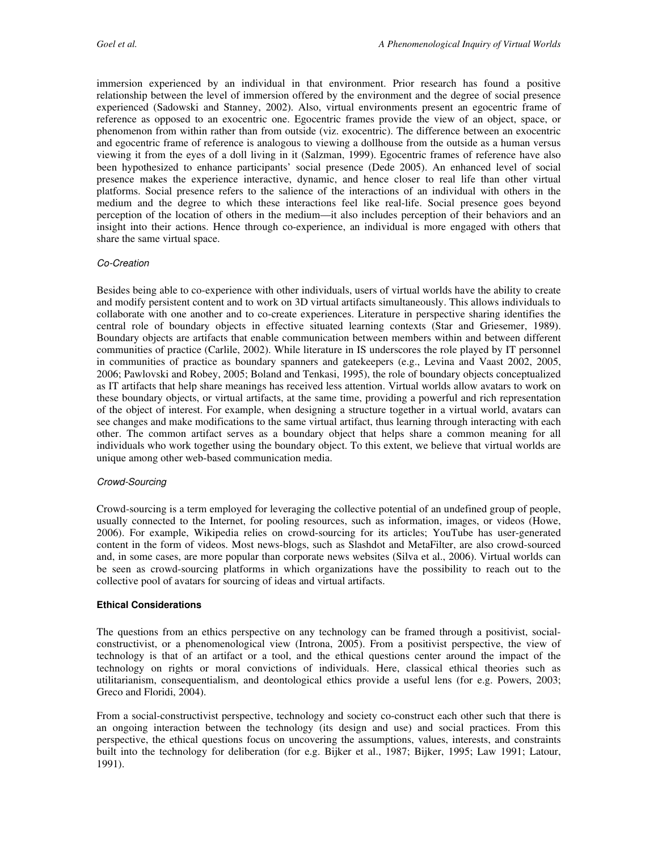immersion experienced by an individual in that environment. Prior research has found a positive relationship between the level of immersion offered by the environment and the degree of social presence experienced (Sadowski and Stanney, 2002). Also, virtual environments present an egocentric frame of reference as opposed to an exocentric one. Egocentric frames provide the view of an object, space, or phenomenon from within rather than from outside (viz. exocentric). The difference between an exocentric and egocentric frame of reference is analogous to viewing a dollhouse from the outside as a human versus viewing it from the eyes of a doll living in it (Salzman, 1999). Egocentric frames of reference have also been hypothesized to enhance participants' social presence (Dede 2005). An enhanced level of social presence makes the experience interactive, dynamic, and hence closer to real life than other virtual platforms. Social presence refers to the salience of the interactions of an individual with others in the medium and the degree to which these interactions feel like real-life. Social presence goes beyond perception of the location of others in the medium—it also includes perception of their behaviors and an insight into their actions. Hence through co-experience, an individual is more engaged with others that share the same virtual space.

#### Co-Creation

Besides being able to co-experience with other individuals, users of virtual worlds have the ability to create and modify persistent content and to work on 3D virtual artifacts simultaneously. This allows individuals to collaborate with one another and to co-create experiences. Literature in perspective sharing identifies the central role of boundary objects in effective situated learning contexts (Star and Griesemer, 1989). Boundary objects are artifacts that enable communication between members within and between different communities of practice (Carlile, 2002). While literature in IS underscores the role played by IT personnel in communities of practice as boundary spanners and gatekeepers (e.g., Levina and Vaast 2002, 2005, 2006; Pawlovski and Robey, 2005; Boland and Tenkasi, 1995), the role of boundary objects conceptualized as IT artifacts that help share meanings has received less attention. Virtual worlds allow avatars to work on these boundary objects, or virtual artifacts, at the same time, providing a powerful and rich representation of the object of interest. For example, when designing a structure together in a virtual world, avatars can see changes and make modifications to the same virtual artifact, thus learning through interacting with each other. The common artifact serves as a boundary object that helps share a common meaning for all individuals who work together using the boundary object. To this extent, we believe that virtual worlds are unique among other web-based communication media.

#### Crowd-Sourcing

Crowd-sourcing is a term employed for leveraging the collective potential of an undefined group of people, usually connected to the Internet, for pooling resources, such as information, images, or videos (Howe, 2006). For example, Wikipedia relies on crowd-sourcing for its articles; YouTube has user-generated content in the form of videos. Most news-blogs, such as Slashdot and MetaFilter, are also crowd-sourced and, in some cases, are more popular than corporate news websites (Silva et al., 2006). Virtual worlds can be seen as crowd-sourcing platforms in which organizations have the possibility to reach out to the collective pool of avatars for sourcing of ideas and virtual artifacts.

#### **Ethical Considerations**

The questions from an ethics perspective on any technology can be framed through a positivist, socialconstructivist, or a phenomenological view (Introna, 2005). From a positivist perspective, the view of technology is that of an artifact or a tool, and the ethical questions center around the impact of the technology on rights or moral convictions of individuals. Here, classical ethical theories such as utilitarianism, consequentialism, and deontological ethics provide a useful lens (for e.g. Powers, 2003; Greco and Floridi, 2004).

From a social-constructivist perspective, technology and society co-construct each other such that there is an ongoing interaction between the technology (its design and use) and social practices. From this perspective, the ethical questions focus on uncovering the assumptions, values, interests, and constraints built into the technology for deliberation (for e.g. Bijker et al., 1987; Bijker, 1995; Law 1991; Latour, 1991).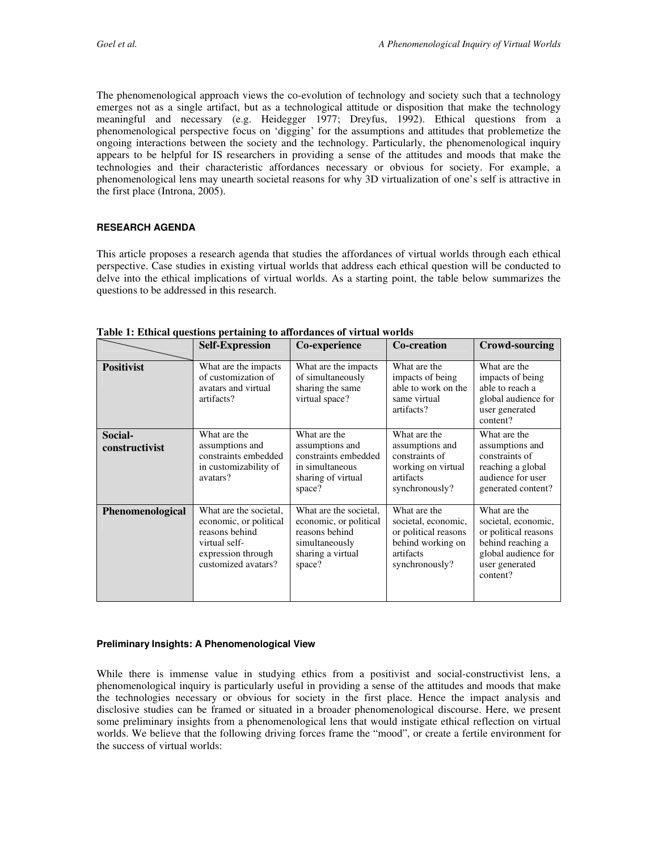The phenomenological approach views the co-evolution of technology and society such that a technology emerges not as a single artifact, but as a technological attitude or disposition that make the technology meaningful and necessary (e.g. Heidegger 1977; Dreyfus, 1992). Ethical questions from a phenomenological perspective focus on 'digging' for the assumptions and attitudes that problemetize the ongoing interactions between the society and the technology. Particularly, the phenomenological inquiry appears to be helpful for IS researchers in providing a sense of the attitudes and moods that make the technologies and their characteristic affordances necessary or obvious for society. For example, a phenomenological lens may unearth societal reasons for why 3D virtualization of one's self is attractive in the first place (Introna, 2005).

#### **RESEARCH AGENDA**

This article proposes a research agenda that studies the affordances of virtual worlds through each ethical perspective. Case studies in existing virtual worlds that address each ethical question will be conducted to delve into the ethical implications of virtual worlds. As a starting point, the table below summarizes the questions to be addressed in this research.

|                           | <b>Self-Expression</b>                                                                                                           | Co-experience                                                                                                       | <b>Co-creation</b>                                                                                              | <b>Crowd-sourcing</b>                                                                                                                 |
|---------------------------|----------------------------------------------------------------------------------------------------------------------------------|---------------------------------------------------------------------------------------------------------------------|-----------------------------------------------------------------------------------------------------------------|---------------------------------------------------------------------------------------------------------------------------------------|
| <b>Positivist</b>         | What are the impacts<br>of customization of<br>avatars and virtual<br>artifacts?                                                 | What are the impacts<br>of simultaneously<br>sharing the same<br>virtual space?                                     | What are the<br>impacts of being<br>able to work on the<br>same virtual<br>artifacts?                           | What are the<br>impacts of being<br>able to reach a<br>global audience for<br>user generated<br>content?                              |
| Social-<br>constructivist | What are the<br>assumptions and<br>constraints embedded<br>in customizability of<br>avatars?                                     | What are the<br>assumptions and<br>constraints embedded<br>in simultaneous<br>sharing of virtual<br>space?          | What are the<br>assumptions and<br>constraints of<br>working on virtual<br>artifacts<br>synchronously?          | What are the<br>assumptions and<br>constraints of<br>reaching a global<br>audience for user<br>generated content?                     |
| Phenomenological          | What are the societal.<br>economic, or political<br>reasons behind<br>virtual self-<br>expression through<br>customized avatars? | What are the societal.<br>economic, or political<br>reasons behind<br>simultaneously<br>sharing a virtual<br>space? | What are the<br>societal, economic,<br>or political reasons<br>behind working on<br>artifacts<br>synchronously? | What are the<br>societal, economic,<br>or political reasons<br>behind reaching a<br>global audience for<br>user generated<br>content? |

**Table 1: Ethical questions pertaining to affordances of virtual worlds** 

#### **Preliminary Insights: A Phenomenological View**

While there is immense value in studying ethics from a positivist and social-constructivist lens, a phenomenological inquiry is particularly useful in providing a sense of the attitudes and moods that make the technologies necessary or obvious for society in the first place. Hence the impact analysis and disclosive studies can be framed or situated in a broader phenomenological discourse. Here, we present some preliminary insights from a phenomenological lens that would instigate ethical reflection on virtual worlds. We believe that the following driving forces frame the "mood", or create a fertile environment for the success of virtual worlds: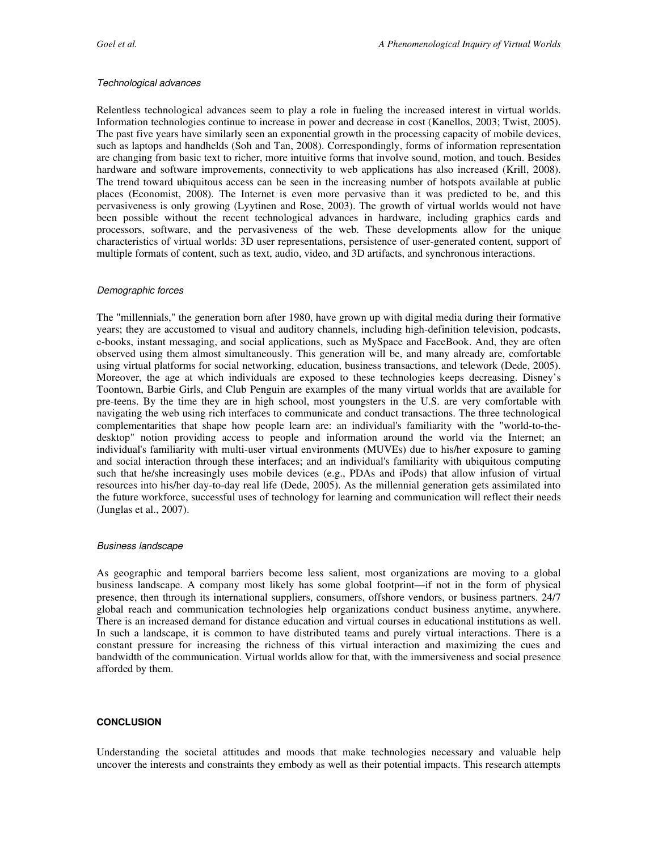#### Technological advances

Relentless technological advances seem to play a role in fueling the increased interest in virtual worlds. Information technologies continue to increase in power and decrease in cost (Kanellos, 2003; Twist, 2005). The past five years have similarly seen an exponential growth in the processing capacity of mobile devices, such as laptops and handhelds (Soh and Tan, 2008). Correspondingly, forms of information representation are changing from basic text to richer, more intuitive forms that involve sound, motion, and touch. Besides hardware and software improvements, connectivity to web applications has also increased (Krill, 2008). The trend toward ubiquitous access can be seen in the increasing number of hotspots available at public places (Economist, 2008). The Internet is even more pervasive than it was predicted to be, and this pervasiveness is only growing (Lyytinen and Rose, 2003). The growth of virtual worlds would not have been possible without the recent technological advances in hardware, including graphics cards and processors, software, and the pervasiveness of the web. These developments allow for the unique characteristics of virtual worlds: 3D user representations, persistence of user-generated content, support of multiple formats of content, such as text, audio, video, and 3D artifacts, and synchronous interactions.

#### Demographic forces

The "millennials," the generation born after 1980, have grown up with digital media during their formative years; they are accustomed to visual and auditory channels, including high-definition television, podcasts, e-books, instant messaging, and social applications, such as MySpace and FaceBook. And, they are often observed using them almost simultaneously. This generation will be, and many already are, comfortable using virtual platforms for social networking, education, business transactions, and telework (Dede, 2005). Moreover, the age at which individuals are exposed to these technologies keeps decreasing. Disney's Toontown, Barbie Girls, and Club Penguin are examples of the many virtual worlds that are available for pre-teens. By the time they are in high school, most youngsters in the U.S. are very comfortable with navigating the web using rich interfaces to communicate and conduct transactions. The three technological complementarities that shape how people learn are: an individual's familiarity with the "world-to-thedesktop" notion providing access to people and information around the world via the Internet; an individual's familiarity with multi-user virtual environments (MUVEs) due to his/her exposure to gaming and social interaction through these interfaces; and an individual's familiarity with ubiquitous computing such that he/she increasingly uses mobile devices (e.g., PDAs and iPods) that allow infusion of virtual resources into his/her day-to-day real life (Dede, 2005). As the millennial generation gets assimilated into the future workforce, successful uses of technology for learning and communication will reflect their needs (Junglas et al., 2007).

#### Business landscape

As geographic and temporal barriers become less salient, most organizations are moving to a global business landscape. A company most likely has some global footprint—if not in the form of physical presence, then through its international suppliers, consumers, offshore vendors, or business partners. 24/7 global reach and communication technologies help organizations conduct business anytime, anywhere. There is an increased demand for distance education and virtual courses in educational institutions as well. In such a landscape, it is common to have distributed teams and purely virtual interactions. There is a constant pressure for increasing the richness of this virtual interaction and maximizing the cues and bandwidth of the communication. Virtual worlds allow for that, with the immersiveness and social presence afforded by them.

#### **CONCLUSION**

Understanding the societal attitudes and moods that make technologies necessary and valuable help uncover the interests and constraints they embody as well as their potential impacts. This research attempts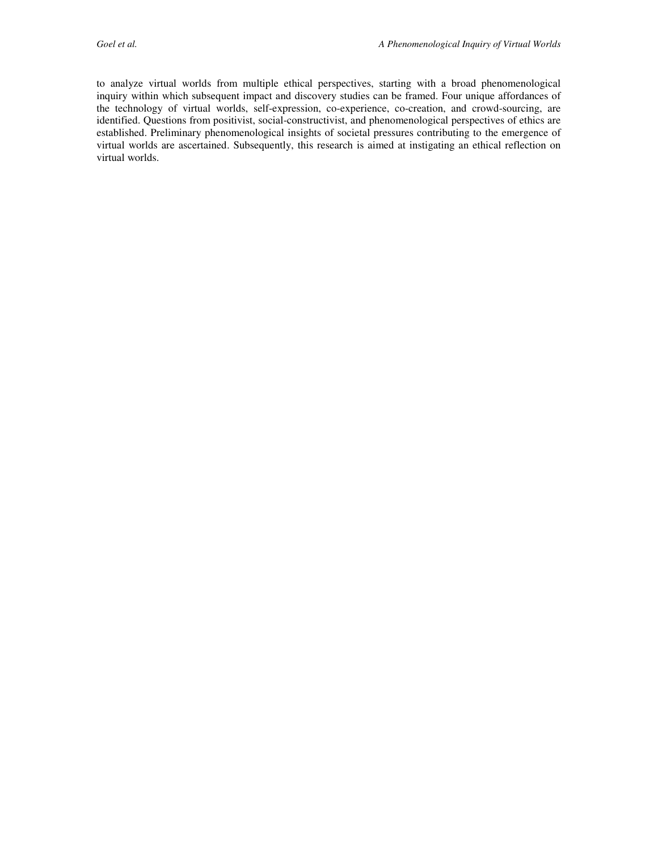to analyze virtual worlds from multiple ethical perspectives, starting with a broad phenomenological inquiry within which subsequent impact and discovery studies can be framed. Four unique affordances of the technology of virtual worlds, self-expression, co-experience, co-creation, and crowd-sourcing, are identified. Questions from positivist, social-constructivist, and phenomenological perspectives of ethics are established. Preliminary phenomenological insights of societal pressures contributing to the emergence of virtual worlds are ascertained. Subsequently, this research is aimed at instigating an ethical reflection on virtual worlds.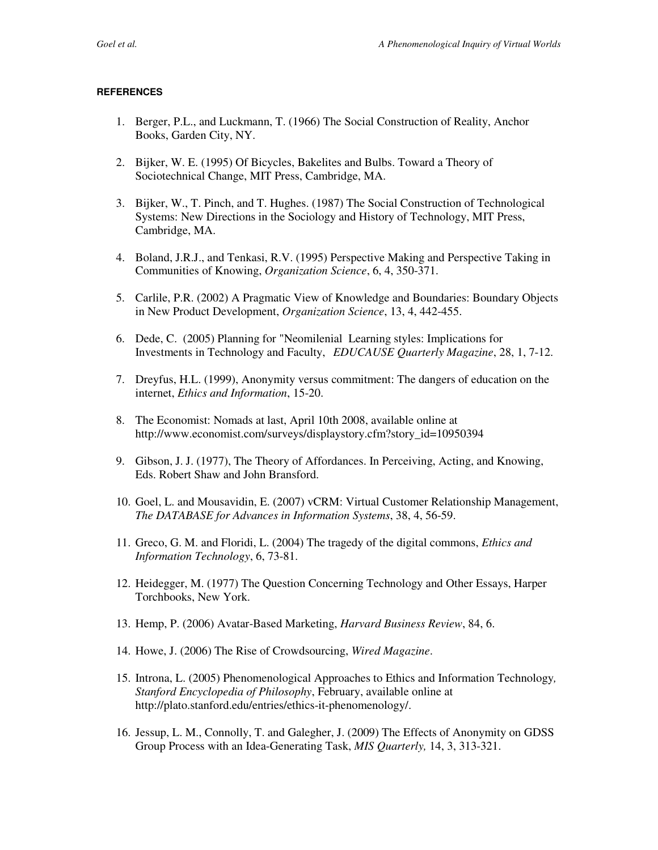#### **REFERENCES**

- 1. Berger, P.L., and Luckmann, T. (1966) The Social Construction of Reality, Anchor Books, Garden City, NY.
- 2. Bijker, W. E. (1995) Of Bicycles, Bakelites and Bulbs. Toward a Theory of Sociotechnical Change, MIT Press, Cambridge, MA.
- 3. Bijker, W., T. Pinch, and T. Hughes. (1987) The Social Construction of Technological Systems: New Directions in the Sociology and History of Technology, MIT Press, Cambridge, MA.
- 4. Boland, J.R.J., and Tenkasi, R.V. (1995) Perspective Making and Perspective Taking in Communities of Knowing, *Organization Science*, 6, 4, 350-371.
- 5. Carlile, P.R. (2002) A Pragmatic View of Knowledge and Boundaries: Boundary Objects in New Product Development, *Organization Science*, 13, 4, 442-455.
- 6. Dede, C. (2005) Planning for "Neomilenial Learning styles: Implications for Investments in Technology and Faculty, *EDUCAUSE Quarterly Magazine*, 28, 1, 7-12.
- 7. Dreyfus, H.L. (1999), Anonymity versus commitment: The dangers of education on the internet, *Ethics and Information*, 15-20.
- 8. The Economist: Nomads at last, April 10th 2008, available online at http://www.economist.com/surveys/displaystory.cfm?story\_id=10950394
- 9. Gibson, J. J. (1977), The Theory of Affordances. In Perceiving, Acting, and Knowing, Eds. Robert Shaw and John Bransford.
- 10. Goel, L. and Mousavidin, E. (2007) vCRM: Virtual Customer Relationship Management, *The DATABASE for Advances in Information Systems*, 38, 4, 56-59.
- 11. Greco, G. M. and Floridi, L. (2004) The tragedy of the digital commons, *Ethics and Information Technology*, 6, 73-81.
- 12. Heidegger, M. (1977) The Question Concerning Technology and Other Essays, Harper Torchbooks, New York.
- 13. Hemp, P. (2006) Avatar-Based Marketing, *Harvard Business Review*, 84, 6.
- 14. Howe, J. (2006) The Rise of Crowdsourcing, *Wired Magazine*.
- 15. Introna, L. (2005) Phenomenological Approaches to Ethics and Information Technology*, Stanford Encyclopedia of Philosophy*, February, available online at http://plato.stanford.edu/entries/ethics-it-phenomenology/.
- 16. Jessup, L. M., Connolly, T. and Galegher, J. (2009) The Effects of Anonymity on GDSS Group Process with an Idea-Generating Task, *MIS Quarterly,* 14, 3, 313-321.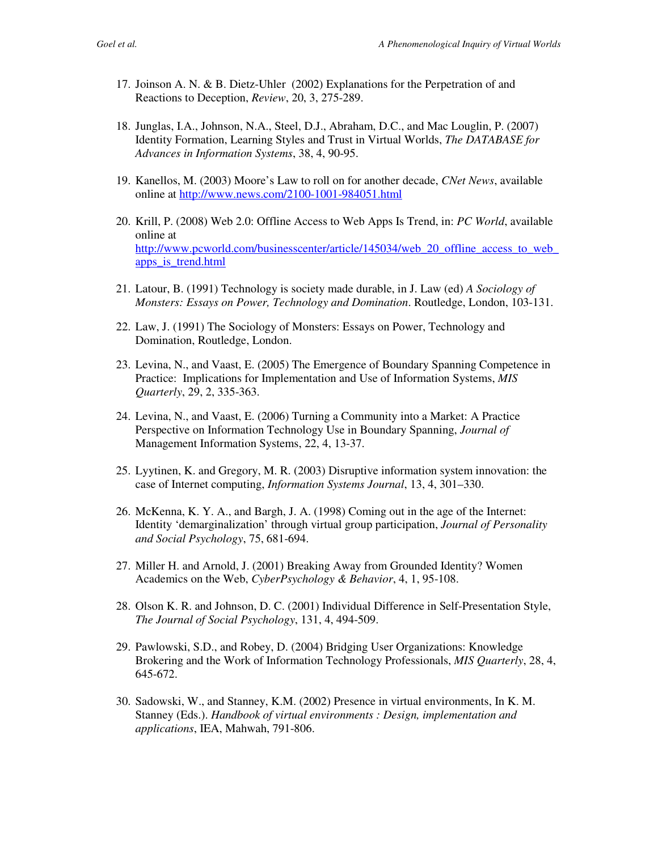- 17. Joinson A. N. & B. Dietz-Uhler (2002) Explanations for the Perpetration of and Reactions to Deception, *Review*, 20, 3, 275-289.
- 18. Junglas, I.A., Johnson, N.A., Steel, D.J., Abraham, D.C., and Mac Louglin, P. (2007) Identity Formation, Learning Styles and Trust in Virtual Worlds, *The DATABASE for Advances in Information Systems*, 38, 4, 90-95.
- 19. Kanellos, M. (2003) Moore's Law to roll on for another decade, *CNet News*, available online at http://www.news.com/2100-1001-984051.html
- 20. Krill, P. (2008) Web 2.0: Offline Access to Web Apps Is Trend, in: *PC World*, available online at http://www.pcworld.com/businesscenter/article/145034/web\_20\_offline\_access\_to\_web apps\_is\_trend.html
- 21. Latour, B. (1991) Technology is society made durable, in J. Law (ed) *A Sociology of Monsters: Essays on Power, Technology and Domination*. Routledge, London, 103-131.
- 22. Law, J. (1991) The Sociology of Monsters: Essays on Power, Technology and Domination, Routledge, London.
- 23. Levina, N., and Vaast, E. (2005) The Emergence of Boundary Spanning Competence in Practice: Implications for Implementation and Use of Information Systems, *MIS Quarterly*, 29, 2, 335-363.
- 24. Levina, N., and Vaast, E. (2006) Turning a Community into a Market: A Practice Perspective on Information Technology Use in Boundary Spanning, *Journal of*  Management Information Systems, 22, 4, 13-37.
- 25. Lyytinen, K. and Gregory, M. R. (2003) Disruptive information system innovation: the case of Internet computing, *Information Systems Journal*, 13, 4, 301–330.
- 26. McKenna, K. Y. A., and Bargh, J. A. (1998) Coming out in the age of the Internet: Identity 'demarginalization' through virtual group participation, *Journal of Personality and Social Psychology*, 75, 681-694.
- 27. Miller H. and Arnold, J. (2001) Breaking Away from Grounded Identity? Women Academics on the Web, *CyberPsychology & Behavior*, 4, 1, 95-108.
- 28. Olson K. R. and Johnson, D. C. (2001) Individual Difference in Self-Presentation Style, *The Journal of Social Psychology*, 131, 4, 494-509.
- 29. Pawlowski, S.D., and Robey, D. (2004) Bridging User Organizations: Knowledge Brokering and the Work of Information Technology Professionals, *MIS Quarterly*, 28, 4, 645-672.
- 30. Sadowski, W., and Stanney, K.M. (2002) Presence in virtual environments, In K. M. Stanney (Eds.). *Handbook of virtual environments : Design, implementation and applications*, IEA, Mahwah, 791-806.